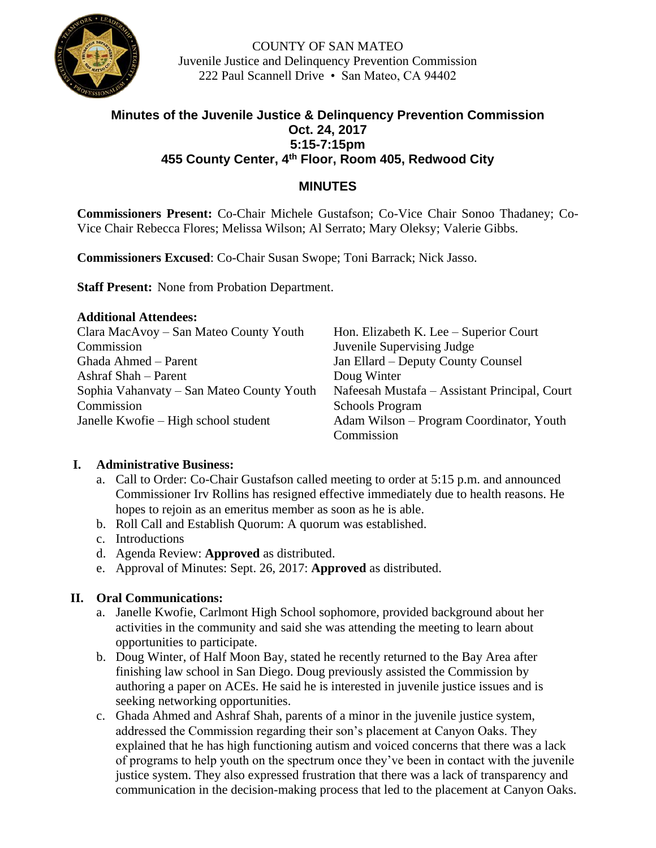

COUNTY OF SAN MATEO Juvenile Justice and Delinquency Prevention Commission 222 Paul Scannell Drive • San Mateo, CA 94402

# **Minutes of the Juvenile Justice & Delinquency Prevention Commission Oct. 24, 2017 5:15-7:15pm 455 County Center, 4th Floor, Room 405, Redwood City**

## **MINUTES**

**Commissioners Present:** Co-Chair Michele Gustafson; Co-Vice Chair Sonoo Thadaney; Co-Vice Chair Rebecca Flores; Melissa Wilson; Al Serrato; Mary Oleksy; Valerie Gibbs.

**Commissioners Excused**: Co-Chair Susan Swope; Toni Barrack; Nick Jasso.

**Staff Present:** None from Probation Department.

| <b>Additional Attendees:</b>              |                                               |
|-------------------------------------------|-----------------------------------------------|
| Clara MacAvoy – San Mateo County Youth    | Hon. Elizabeth K. Lee – Superior Court        |
| Commission                                | Juvenile Supervising Judge                    |
| Ghada Ahmed – Parent                      | Jan Ellard - Deputy County Counsel            |
| Ashraf Shah – Parent                      | Doug Winter                                   |
| Sophia Vahanvaty – San Mateo County Youth | Nafeesah Mustafa – Assistant Principal, Court |
| Commission                                | <b>Schools Program</b>                        |
| Janelle Kwofie – High school student      | Adam Wilson – Program Coordinator, Youth      |
|                                           | Commission                                    |

### **I. Administrative Business:**

- a. Call to Order: Co-Chair Gustafson called meeting to order at 5:15 p.m. and announced Commissioner Irv Rollins has resigned effective immediately due to health reasons. He hopes to rejoin as an emeritus member as soon as he is able.
- b. Roll Call and Establish Quorum: A quorum was established.
- c. Introductions
- d. Agenda Review: **Approved** as distributed.
- e. Approval of Minutes: Sept. 26, 2017: **Approved** as distributed.

### **II. Oral Communications:**

- a. Janelle Kwofie, Carlmont High School sophomore, provided background about her activities in the community and said she was attending the meeting to learn about opportunities to participate.
- b. Doug Winter, of Half Moon Bay, stated he recently returned to the Bay Area after finishing law school in San Diego. Doug previously assisted the Commission by authoring a paper on ACEs. He said he is interested in juvenile justice issues and is seeking networking opportunities.
- c. Ghada Ahmed and Ashraf Shah, parents of a minor in the juvenile justice system, addressed the Commission regarding their son's placement at Canyon Oaks. They explained that he has high functioning autism and voiced concerns that there was a lack of programs to help youth on the spectrum once they've been in contact with the juvenile justice system. They also expressed frustration that there was a lack of transparency and communication in the decision-making process that led to the placement at Canyon Oaks.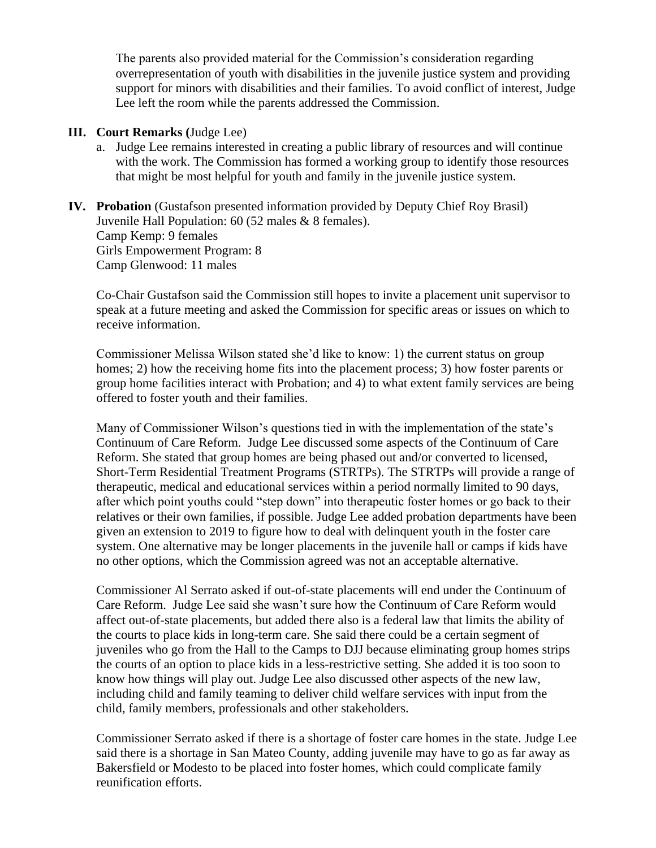The parents also provided material for the Commission's consideration regarding overrepresentation of youth with disabilities in the juvenile justice system and providing support for minors with disabilities and their families. To avoid conflict of interest, Judge Lee left the room while the parents addressed the Commission.

#### **III. Court Remarks (**Judge Lee)

- a. Judge Lee remains interested in creating a public library of resources and will continue with the work. The Commission has formed a working group to identify those resources that might be most helpful for youth and family in the juvenile justice system.
- **IV. Probation** (Gustafson presented information provided by Deputy Chief Roy Brasil) Juvenile Hall Population: 60 (52 males & 8 females). Camp Kemp: 9 females Girls Empowerment Program: 8 Camp Glenwood: 11 males

Co-Chair Gustafson said the Commission still hopes to invite a placement unit supervisor to speak at a future meeting and asked the Commission for specific areas or issues on which to receive information.

Commissioner Melissa Wilson stated she'd like to know: 1) the current status on group homes; 2) how the receiving home fits into the placement process; 3) how foster parents or group home facilities interact with Probation; and 4) to what extent family services are being offered to foster youth and their families.

Many of Commissioner Wilson's questions tied in with the implementation of the state's Continuum of Care Reform. Judge Lee discussed some aspects of the Continuum of Care Reform. She stated that group homes are being phased out and/or converted to licensed, Short-Term Residential Treatment Programs (STRTPs). The STRTPs will provide a range of therapeutic, medical and educational services within a period normally limited to 90 days, after which point youths could "step down" into therapeutic foster homes or go back to their relatives or their own families, if possible. Judge Lee added probation departments have been given an extension to 2019 to figure how to deal with delinquent youth in the foster care system. One alternative may be longer placements in the juvenile hall or camps if kids have no other options, which the Commission agreed was not an acceptable alternative.

Commissioner Al Serrato asked if out-of-state placements will end under the Continuum of Care Reform. Judge Lee said she wasn't sure how the Continuum of Care Reform would affect out-of-state placements, but added there also is a federal law that limits the ability of the courts to place kids in long-term care. She said there could be a certain segment of juveniles who go from the Hall to the Camps to DJJ because eliminating group homes strips the courts of an option to place kids in a less-restrictive setting. She added it is too soon to know how things will play out. Judge Lee also discussed other aspects of the new law, including child and family teaming to deliver child welfare services with input from the child, family members, professionals and other stakeholders.

Commissioner Serrato asked if there is a shortage of foster care homes in the state. Judge Lee said there is a shortage in San Mateo County, adding juvenile may have to go as far away as Bakersfield or Modesto to be placed into foster homes, which could complicate family reunification efforts.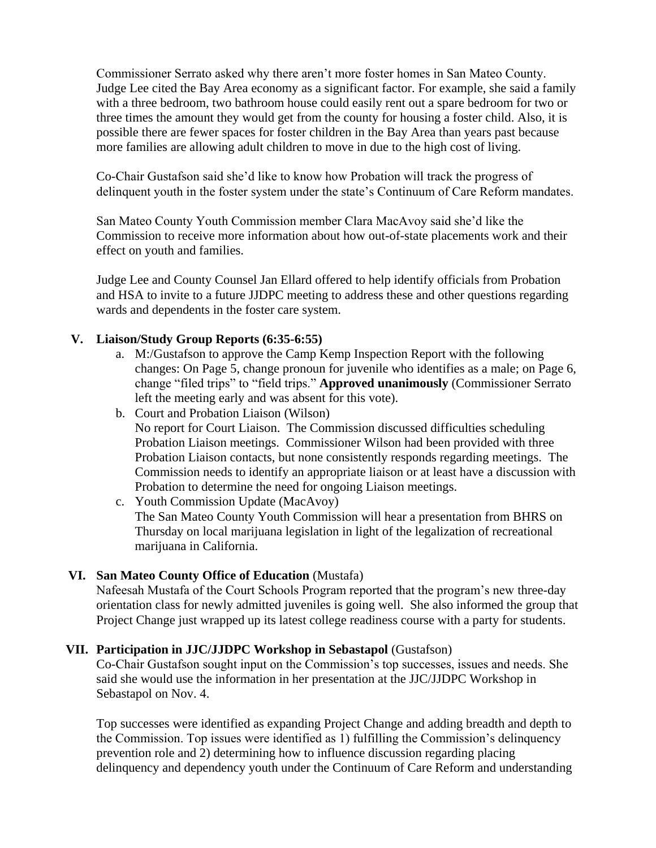Commissioner Serrato asked why there aren't more foster homes in San Mateo County. Judge Lee cited the Bay Area economy as a significant factor. For example, she said a family with a three bedroom, two bathroom house could easily rent out a spare bedroom for two or three times the amount they would get from the county for housing a foster child. Also, it is possible there are fewer spaces for foster children in the Bay Area than years past because more families are allowing adult children to move in due to the high cost of living.

Co-Chair Gustafson said she'd like to know how Probation will track the progress of delinquent youth in the foster system under the state's Continuum of Care Reform mandates.

San Mateo County Youth Commission member Clara MacAvoy said she'd like the Commission to receive more information about how out-of-state placements work and their effect on youth and families.

Judge Lee and County Counsel Jan Ellard offered to help identify officials from Probation and HSA to invite to a future JJDPC meeting to address these and other questions regarding wards and dependents in the foster care system.

### **V. Liaison/Study Group Reports (6:35-6:55)**

- a. M:/Gustafson to approve the Camp Kemp Inspection Report with the following changes: On Page 5, change pronoun for juvenile who identifies as a male; on Page 6, change "filed trips" to "field trips." **Approved unanimously** (Commissioner Serrato left the meeting early and was absent for this vote).
- b. Court and Probation Liaison (Wilson) No report for Court Liaison. The Commission discussed difficulties scheduling Probation Liaison meetings. Commissioner Wilson had been provided with three Probation Liaison contacts, but none consistently responds regarding meetings. The Commission needs to identify an appropriate liaison or at least have a discussion with Probation to determine the need for ongoing Liaison meetings.
- c. Youth Commission Update (MacAvoy) The San Mateo County Youth Commission will hear a presentation from BHRS on Thursday on local marijuana legislation in light of the legalization of recreational marijuana in California.

### **VI. San Mateo County Office of Education** (Mustafa)

Nafeesah Mustafa of the Court Schools Program reported that the program's new three-day orientation class for newly admitted juveniles is going well. She also informed the group that Project Change just wrapped up its latest college readiness course with a party for students.

#### **VII. Participation in JJC/JJDPC Workshop in Sebastapol** (Gustafson)

Co-Chair Gustafson sought input on the Commission's top successes, issues and needs. She said she would use the information in her presentation at the JJC/JJDPC Workshop in Sebastapol on Nov. 4.

Top successes were identified as expanding Project Change and adding breadth and depth to the Commission. Top issues were identified as 1) fulfilling the Commission's delinquency prevention role and 2) determining how to influence discussion regarding placing delinquency and dependency youth under the Continuum of Care Reform and understanding